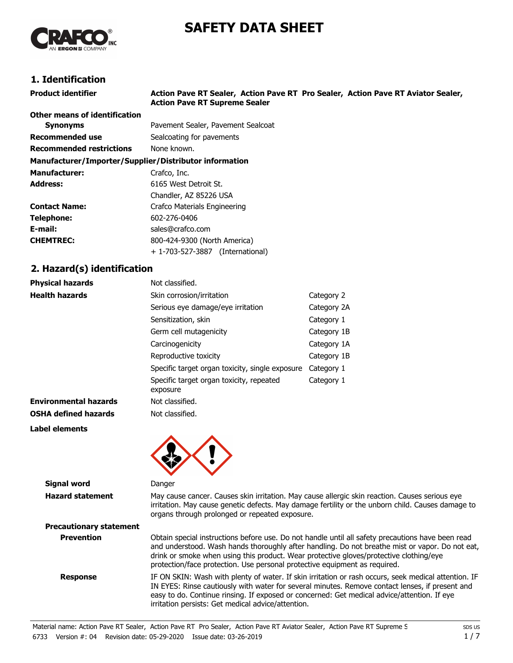# **SAFETY DATA SHEET**



# **1. Identification**

| Product identifier                                     | Action Pave RT Sealer, Action Pave RT Pro Sealer, Action Pave RT Aviator Sealer,<br><b>Action Pave RT Supreme Sealer</b> |  |
|--------------------------------------------------------|--------------------------------------------------------------------------------------------------------------------------|--|
| Other means of identification                          |                                                                                                                          |  |
| <b>Synonyms</b>                                        | Pavement Sealer, Pavement Sealcoat                                                                                       |  |
| Recommended use                                        | Sealcoating for pavements                                                                                                |  |
| <b>Recommended restrictions</b>                        | None known.                                                                                                              |  |
| Manufacturer/Importer/Supplier/Distributor information |                                                                                                                          |  |
| <b>Manufacturer:</b>                                   | Crafco, Inc.                                                                                                             |  |
| Address:                                               | 6165 West Detroit St.                                                                                                    |  |
|                                                        | Chandler, AZ 85226 USA                                                                                                   |  |
| Contact Name:                                          | Crafco Materials Engineering                                                                                             |  |
| Telephone:                                             | 602-276-0406                                                                                                             |  |
| E-mail:                                                | sales@crafco.com                                                                                                         |  |
| <b>CHEMTREC:</b>                                       | 800-424-9300 (North America)                                                                                             |  |
|                                                        | + 1-703-527-3887 (International)                                                                                         |  |
| 2. Hazard(s) identification                            |                                                                                                                          |  |

# **2. Hazard(s) identification**

| <b>Physical hazards</b>      | Not classified.                                      |             |
|------------------------------|------------------------------------------------------|-------------|
| <b>Health hazards</b>        | Skin corrosion/irritation                            | Category 2  |
|                              | Serious eye damage/eye irritation                    | Category 2A |
|                              | Sensitization, skin                                  | Category 1  |
|                              | Germ cell mutagenicity                               | Category 1B |
|                              | Carcinogenicity                                      | Category 1A |
|                              | Reproductive toxicity                                | Category 1B |
|                              | Specific target organ toxicity, single exposure      | Category 1  |
|                              | Specific target organ toxicity, repeated<br>exposure | Category 1  |
| <b>Environmental hazards</b> | Not classified.                                      |             |
| <b>OSHA defined hazards</b>  | Not classified.                                      |             |

**Label elements**



| <b>Signal word</b>             | Danger                                                                                                                                                                                                                                                                                                                                                                       |  |
|--------------------------------|------------------------------------------------------------------------------------------------------------------------------------------------------------------------------------------------------------------------------------------------------------------------------------------------------------------------------------------------------------------------------|--|
| <b>Hazard statement</b>        | May cause cancer. Causes skin irritation. May cause allergic skin reaction. Causes serious eye<br>irritation. May cause genetic defects. May damage fertility or the unborn child. Causes damage to<br>organs through prolonged or repeated exposure.                                                                                                                        |  |
| <b>Precautionary statement</b> |                                                                                                                                                                                                                                                                                                                                                                              |  |
| <b>Prevention</b>              | Obtain special instructions before use. Do not handle until all safety precautions have been read<br>and understood. Wash hands thoroughly after handling. Do not breathe mist or vapor. Do not eat,<br>drink or smoke when using this product. Wear protective gloves/protective clothing/eye<br>protection/face protection. Use personal protective equipment as required. |  |
| <b>Response</b>                | IF ON SKIN: Wash with plenty of water. If skin irritation or rash occurs, seek medical attention. IF<br>IN EYES: Rinse cautiously with water for several minutes. Remove contact lenses, if present and<br>easy to do. Continue rinsing. If exposed or concerned: Get medical advice/attention. If eye<br>irritation persists: Get medical advice/attention.                 |  |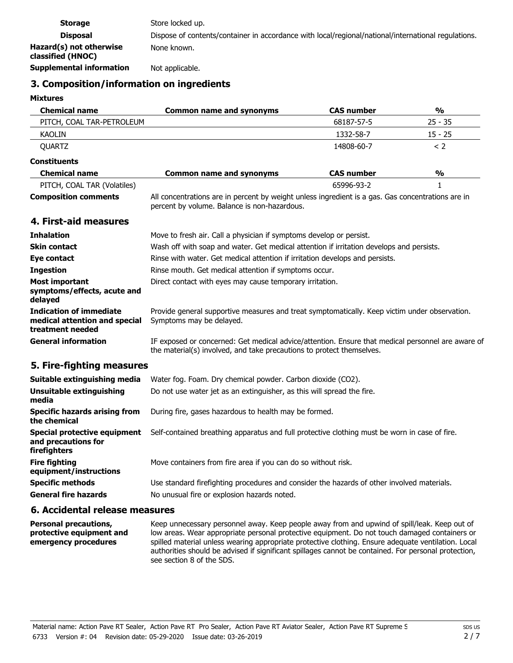| <b>Storage</b>                               | Store locked up.                                                                                    |
|----------------------------------------------|-----------------------------------------------------------------------------------------------------|
| <b>Disposal</b>                              | Dispose of contents/container in accordance with local/regional/national/international regulations. |
| Hazard(s) not otherwise<br>classified (HNOC) | None known.                                                                                         |
| <b>Supplemental information</b>              | Not applicable.                                                                                     |

# **3. Composition/information on ingredients**

#### **Mixtures**

| <b>Chemical name</b>                                                                | <b>Common name and synonyms</b>                                                                                                                                            | <b>CAS number</b> | %             |
|-------------------------------------------------------------------------------------|----------------------------------------------------------------------------------------------------------------------------------------------------------------------------|-------------------|---------------|
| PITCH, COAL TAR-PETROLEUM                                                           |                                                                                                                                                                            | 68187-57-5        | $25 - 35$     |
| KAOLIN                                                                              |                                                                                                                                                                            | 1332-58-7         | $15 - 25$     |
| QUARTZ                                                                              |                                                                                                                                                                            | 14808-60-7        | < 2           |
| <b>Constituents</b>                                                                 |                                                                                                                                                                            |                   |               |
| <b>Chemical name</b>                                                                | <b>Common name and synonyms</b>                                                                                                                                            | <b>CAS number</b> | $\frac{0}{0}$ |
| PITCH, COAL TAR (Volatiles)                                                         |                                                                                                                                                                            | 65996-93-2        | $\mathbf{1}$  |
| <b>Composition comments</b>                                                         | All concentrations are in percent by weight unless ingredient is a gas. Gas concentrations are in<br>percent by volume. Balance is non-hazardous.                          |                   |               |
| 4. First-aid measures                                                               |                                                                                                                                                                            |                   |               |
| <b>Inhalation</b>                                                                   | Move to fresh air. Call a physician if symptoms develop or persist.                                                                                                        |                   |               |
| <b>Skin contact</b>                                                                 | Wash off with soap and water. Get medical attention if irritation develops and persists.                                                                                   |                   |               |
| Eye contact                                                                         | Rinse with water. Get medical attention if irritation develops and persists.                                                                                               |                   |               |
| <b>Ingestion</b>                                                                    | Rinse mouth. Get medical attention if symptoms occur.                                                                                                                      |                   |               |
| <b>Most important</b><br>symptoms/effects, acute and<br>delayed                     | Direct contact with eyes may cause temporary irritation.                                                                                                                   |                   |               |
| <b>Indication of immediate</b><br>medical attention and special<br>treatment needed | Provide general supportive measures and treat symptomatically. Keep victim under observation.<br>Symptoms may be delayed.                                                  |                   |               |
| <b>General information</b>                                                          | IF exposed or concerned: Get medical advice/attention. Ensure that medical personnel are aware of<br>the material(s) involved, and take precautions to protect themselves. |                   |               |
| 5. Fire-fighting measures                                                           |                                                                                                                                                                            |                   |               |
| Suitable extinguishing media                                                        | Water fog. Foam. Dry chemical powder. Carbon dioxide (CO2).                                                                                                                |                   |               |
| <b>Unsuitable extinguishing</b><br>media                                            | Do not use water jet as an extinguisher, as this will spread the fire.                                                                                                     |                   |               |
| <b>Specific hazards arising from</b><br>the chemical                                | During fire, gases hazardous to health may be formed.                                                                                                                      |                   |               |
| <b>Special protective equipment</b><br>and precautions for<br>firefighters          | Self-contained breathing apparatus and full protective clothing must be worn in case of fire.                                                                              |                   |               |
| <b>Fire fighting</b><br>equipment/instructions                                      | Move containers from fire area if you can do so without risk.                                                                                                              |                   |               |
| <b>Specific methods</b><br><b>General fire hazards</b>                              | Use standard firefighting procedures and consider the hazards of other involved materials.<br>No unusual fire or explosion hazards noted.                                  |                   |               |
|                                                                                     |                                                                                                                                                                            |                   |               |

# **6. Accidental release measures**

Keep unnecessary personnel away. Keep people away from and upwind of spill/leak. Keep out of low areas. Wear appropriate personal protective equipment. Do not touch damaged containers or spilled material unless wearing appropriate protective clothing. Ensure adequate ventilation. Local authorities should be advised if significant spillages cannot be contained. For personal protection, see section 8 of the SDS. **Personal precautions, protective equipment and emergency procedures**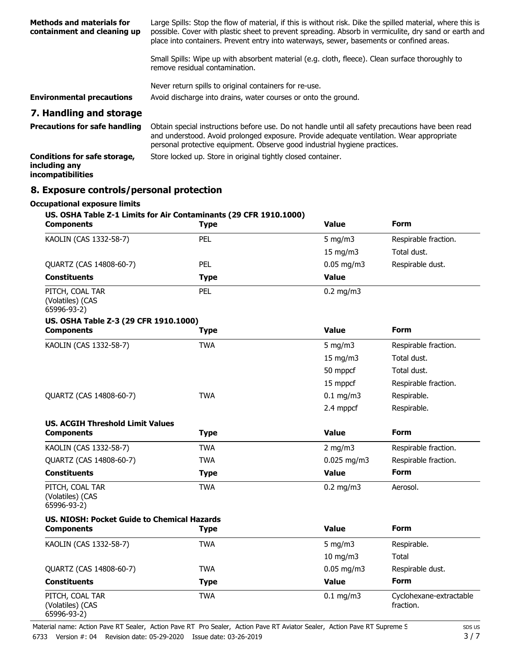| <b>Methods and materials for</b><br>containment and cleaning up           | Large Spills: Stop the flow of material, if this is without risk. Dike the spilled material, where this is<br>possible. Cover with plastic sheet to prevent spreading. Absorb in vermiculite, dry sand or earth and<br>place into containers. Prevent entry into waterways, sewer, basements or confined areas. |  |  |
|---------------------------------------------------------------------------|-----------------------------------------------------------------------------------------------------------------------------------------------------------------------------------------------------------------------------------------------------------------------------------------------------------------|--|--|
|                                                                           | Small Spills: Wipe up with absorbent material (e.g. cloth, fleece). Clean surface thoroughly to<br>remove residual contamination.                                                                                                                                                                               |  |  |
|                                                                           | Never return spills to original containers for re-use.                                                                                                                                                                                                                                                          |  |  |
| <b>Environmental precautions</b>                                          | Avoid discharge into drains, water courses or onto the ground.                                                                                                                                                                                                                                                  |  |  |
| 7. Handling and storage                                                   |                                                                                                                                                                                                                                                                                                                 |  |  |
| <b>Precautions for safe handling</b>                                      | Obtain special instructions before use. Do not handle until all safety precautions have been read<br>and understood. Avoid prolonged exposure. Provide adequate ventilation. Wear appropriate<br>personal protective equipment. Observe good industrial hygiene practices.                                      |  |  |
| <b>Conditions for safe storage,</b><br>including any<br>incompatibilities | Store locked up. Store in original tightly closed container.                                                                                                                                                                                                                                                    |  |  |

# **8. Exposure controls/personal protection**

| <b>Occupational exposure limits</b>                                                    |             |                |                                      |
|----------------------------------------------------------------------------------------|-------------|----------------|--------------------------------------|
| US. OSHA Table Z-1 Limits for Air Contaminants (29 CFR 1910.1000)<br><b>Components</b> | <b>Type</b> | <b>Value</b>   | <b>Form</b>                          |
| KAOLIN (CAS 1332-58-7)                                                                 | PEL         | $5$ mg/m $3$   | Respirable fraction.                 |
|                                                                                        |             | 15 mg/m3       | Total dust.                          |
| QUARTZ (CAS 14808-60-7)                                                                | PEL         | $0.05$ mg/m3   | Respirable dust.                     |
| <b>Constituents</b>                                                                    | <b>Type</b> | <b>Value</b>   |                                      |
| PITCH, COAL TAR<br>(Volatiles) (CAS<br>65996-93-2)                                     | PEL         | $0.2$ mg/m $3$ |                                      |
| US. OSHA Table Z-3 (29 CFR 1910.1000)                                                  |             |                |                                      |
| <b>Components</b>                                                                      | <b>Type</b> | <b>Value</b>   | <b>Form</b>                          |
| KAOLIN (CAS 1332-58-7)                                                                 | <b>TWA</b>  | 5 mg/m $3$     | Respirable fraction.                 |
|                                                                                        |             | 15 mg/m3       | Total dust.                          |
|                                                                                        |             | 50 mppcf       | Total dust.                          |
|                                                                                        |             | 15 mppcf       | Respirable fraction.                 |
| QUARTZ (CAS 14808-60-7)                                                                | <b>TWA</b>  | $0.1$ mg/m3    | Respirable.                          |
|                                                                                        |             | 2.4 mppcf      | Respirable.                          |
| <b>US. ACGIH Threshold Limit Values</b>                                                |             |                |                                      |
| <b>Components</b>                                                                      | <b>Type</b> | <b>Value</b>   | <b>Form</b>                          |
| KAOLIN (CAS 1332-58-7)                                                                 | <b>TWA</b>  | 2 mg/m $3$     | Respirable fraction.                 |
| QUARTZ (CAS 14808-60-7)                                                                | <b>TWA</b>  | $0.025$ mg/m3  | Respirable fraction.                 |
| <b>Constituents</b>                                                                    | <b>Type</b> | <b>Value</b>   | <b>Form</b>                          |
| PITCH, COAL TAR<br>(Volatiles) (CAS<br>65996-93-2)                                     | <b>TWA</b>  | $0.2$ mg/m $3$ | Aerosol.                             |
| US, NIOSH: Pocket Guide to Chemical Hazards                                            |             |                |                                      |
| <b>Components</b>                                                                      | <b>Type</b> | <b>Value</b>   | <b>Form</b>                          |
| KAOLIN (CAS 1332-58-7)                                                                 | <b>TWA</b>  | $5$ mg/m $3$   | Respirable.                          |
|                                                                                        |             | 10 mg/m3       | Total                                |
| QUARTZ (CAS 14808-60-7)                                                                | <b>TWA</b>  | $0.05$ mg/m3   | Respirable dust.                     |
| <b>Constituents</b>                                                                    | <b>Type</b> | <b>Value</b>   | <b>Form</b>                          |
| PITCH, COAL TAR<br>(Volatiles) (CAS<br>65996-93-2)                                     | <b>TWA</b>  | $0.1$ mg/m3    | Cyclohexane-extractable<br>fraction. |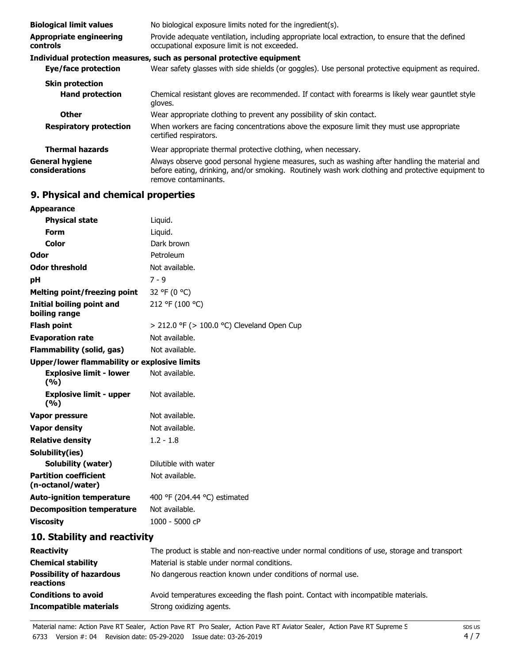| <b>Biological limit values</b>                    | No biological exposure limits noted for the ingredient(s).                                                                                                                                                                  |  |  |
|---------------------------------------------------|-----------------------------------------------------------------------------------------------------------------------------------------------------------------------------------------------------------------------------|--|--|
| <b>Appropriate engineering</b><br><b>controls</b> | Provide adequate ventilation, including appropriate local extraction, to ensure that the defined<br>occupational exposure limit is not exceeded.                                                                            |  |  |
|                                                   | Individual protection measures, such as personal protective equipment                                                                                                                                                       |  |  |
| Eye/face protection                               | Wear safety glasses with side shields (or goggles). Use personal protective equipment as required.                                                                                                                          |  |  |
| <b>Skin protection</b>                            |                                                                                                                                                                                                                             |  |  |
| <b>Hand protection</b>                            | Chemical resistant gloves are recommended. If contact with forearms is likely wear gauntlet style<br>gloves.                                                                                                                |  |  |
| <b>Other</b>                                      | Wear appropriate clothing to prevent any possibility of skin contact.                                                                                                                                                       |  |  |
| <b>Respiratory protection</b>                     | When workers are facing concentrations above the exposure limit they must use appropriate<br>certified respirators.                                                                                                         |  |  |
| <b>Thermal hazards</b>                            | Wear appropriate thermal protective clothing, when necessary.                                                                                                                                                               |  |  |
| <b>General hygiene</b><br>considerations          | Always observe good personal hygiene measures, such as washing after handling the material and<br>before eating, drinking, and/or smoking. Routinely wash work clothing and protective equipment to<br>remove contaminants. |  |  |

# **9. Physical and chemical properties**

| <b>Appearance</b>                                   |                                                 |
|-----------------------------------------------------|-------------------------------------------------|
| <b>Physical state</b>                               | Liquid.                                         |
| <b>Form</b>                                         | Liquid.                                         |
| Color                                               | Dark brown                                      |
| Odor                                                | Petroleum                                       |
| <b>Odor threshold</b>                               | Not available.                                  |
| рH                                                  | $7 - 9$                                         |
| <b>Melting point/freezing point</b>                 | 32 °F (0 °C)                                    |
| Initial boiling point and<br>boiling range          | 212 °F (100 °C)                                 |
| <b>Flash point</b>                                  | $>$ 212.0 °F ( $>$ 100.0 °C) Cleveland Open Cup |
| <b>Evaporation rate</b>                             | Not available.                                  |
| <b>Flammability (solid, gas)</b>                    | Not available.                                  |
| <b>Upper/lower flammability or explosive limits</b> |                                                 |
| <b>Explosive limit - lower</b><br>(9/6)             | Not available.                                  |
| <b>Explosive limit - upper</b><br>(9/6)             | Not available.                                  |
| Vapor pressure                                      | Not available.                                  |
| <b>Vapor density</b>                                | Not available.                                  |
| <b>Relative density</b>                             | $1.2 - 1.8$                                     |
| Solubility(ies)                                     |                                                 |
| <b>Solubility (water)</b>                           | Dilutible with water                            |
| <b>Partition coefficient</b><br>(n-octanol/water)   | Not available.                                  |
| <b>Auto-ignition temperature</b>                    | 400 °F (204.44 °C) estimated                    |
| <b>Decomposition temperature</b>                    | Not available.                                  |
| <b>Viscosity</b>                                    | 1000 - 5000 cP                                  |
| 10. Stability and reactivity                        |                                                 |

| <b>Reactivity</b>                            | The product is stable and non-reactive under normal conditions of use, storage and transport |
|----------------------------------------------|----------------------------------------------------------------------------------------------|
| <b>Chemical stability</b>                    | Material is stable under normal conditions.                                                  |
| <b>Possibility of hazardous</b><br>reactions | No dangerous reaction known under conditions of normal use.                                  |
| <b>Conditions to avoid</b>                   | Avoid temperatures exceeding the flash point. Contact with incompatible materials.           |
| <b>Incompatible materials</b>                | Strong oxidizing agents.                                                                     |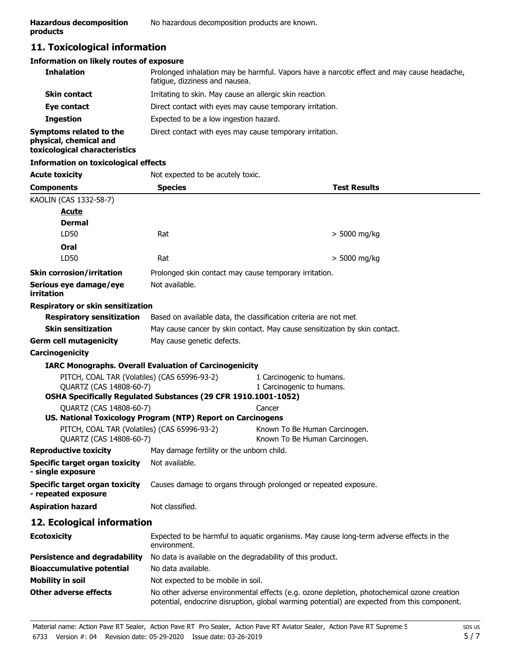# **11. Toxicological information**

#### **Information on likely routes of exposure**

| <b>Inhalation</b>                                                                  | Prolonged inhalation may be harmful. Vapors have a narcotic effect and may cause headache,<br>fatique, dizziness and nausea. |  |
|------------------------------------------------------------------------------------|------------------------------------------------------------------------------------------------------------------------------|--|
| <b>Skin contact</b>                                                                | Irritating to skin. May cause an allergic skin reaction.                                                                     |  |
| Eye contact                                                                        | Direct contact with eyes may cause temporary irritation.                                                                     |  |
| <b>Ingestion</b>                                                                   | Expected to be a low ingestion hazard.                                                                                       |  |
| Symptoms related to the<br>physical, chemical and<br>toxicological characteristics | Direct contact with eyes may cause temporary irritation.                                                                     |  |

# **Information on toxicological effects**

| <b>Acute toxicity</b>                                                   | Not expected to be acutely toxic.                                                                                                                                                          |                                                                            |  |
|-------------------------------------------------------------------------|--------------------------------------------------------------------------------------------------------------------------------------------------------------------------------------------|----------------------------------------------------------------------------|--|
| <b>Components</b>                                                       | <b>Species</b>                                                                                                                                                                             | <b>Test Results</b>                                                        |  |
| KAOLIN (CAS 1332-58-7)                                                  |                                                                                                                                                                                            |                                                                            |  |
| <u>Acute</u>                                                            |                                                                                                                                                                                            |                                                                            |  |
| <b>Dermal</b>                                                           |                                                                                                                                                                                            |                                                                            |  |
| LD50                                                                    | Rat                                                                                                                                                                                        | > 5000 mg/kg                                                               |  |
| Oral                                                                    |                                                                                                                                                                                            |                                                                            |  |
| LD50                                                                    | Rat                                                                                                                                                                                        | $>$ 5000 mg/kg                                                             |  |
| <b>Skin corrosion/irritation</b>                                        | Prolonged skin contact may cause temporary irritation.                                                                                                                                     |                                                                            |  |
| Serious eye damage/eye<br>irritation                                    | Not available.                                                                                                                                                                             |                                                                            |  |
| <b>Respiratory or skin sensitization</b>                                |                                                                                                                                                                                            |                                                                            |  |
| <b>Respiratory sensitization</b>                                        | Based on available data, the classification criteria are not met.                                                                                                                          |                                                                            |  |
| <b>Skin sensitization</b>                                               |                                                                                                                                                                                            | May cause cancer by skin contact. May cause sensitization by skin contact. |  |
| <b>Germ cell mutagenicity</b>                                           | May cause genetic defects.                                                                                                                                                                 |                                                                            |  |
| Carcinogenicity                                                         |                                                                                                                                                                                            |                                                                            |  |
|                                                                         | <b>IARC Monographs. Overall Evaluation of Carcinogenicity</b>                                                                                                                              |                                                                            |  |
| PITCH, COAL TAR (Volatiles) (CAS 65996-93-2)<br>QUARTZ (CAS 14808-60-7) |                                                                                                                                                                                            | 1 Carcinogenic to humans.<br>1 Carcinogenic to humans.                     |  |
|                                                                         | OSHA Specifically Regulated Substances (29 CFR 1910.1001-1052)                                                                                                                             |                                                                            |  |
| QUARTZ (CAS 14808-60-7)                                                 |                                                                                                                                                                                            | Cancer                                                                     |  |
| PITCH, COAL TAR (Volatiles) (CAS 65996-93-2)                            | US. National Toxicology Program (NTP) Report on Carcinogens                                                                                                                                |                                                                            |  |
| QUARTZ (CAS 14808-60-7)                                                 |                                                                                                                                                                                            | Known To Be Human Carcinogen.<br>Known To Be Human Carcinogen.             |  |
| <b>Reproductive toxicity</b>                                            | May damage fertility or the unborn child.                                                                                                                                                  |                                                                            |  |
| <b>Specific target organ toxicity</b><br>- single exposure              | Not available.                                                                                                                                                                             |                                                                            |  |
| <b>Specific target organ toxicity</b><br>- repeated exposure            | Causes damage to organs through prolonged or repeated exposure.                                                                                                                            |                                                                            |  |
| <b>Aspiration hazard</b>                                                | Not classified.                                                                                                                                                                            |                                                                            |  |
| 12. Ecological information                                              |                                                                                                                                                                                            |                                                                            |  |
| <b>Ecotoxicity</b>                                                      | Expected to be harmful to aquatic organisms. May cause long-term adverse effects in the<br>environment.                                                                                    |                                                                            |  |
| <b>Persistence and degradability</b>                                    | No data is available on the degradability of this product.                                                                                                                                 |                                                                            |  |
| <b>Bioaccumulative potential</b>                                        | No data available.                                                                                                                                                                         |                                                                            |  |
| <b>Mobility in soil</b>                                                 | Not expected to be mobile in soil.                                                                                                                                                         |                                                                            |  |
| <b>Other adverse effects</b>                                            | No other adverse environmental effects (e.g. ozone depletion, photochemical ozone creation<br>potential, endocrine disruption, global warming potential) are expected from this component. |                                                                            |  |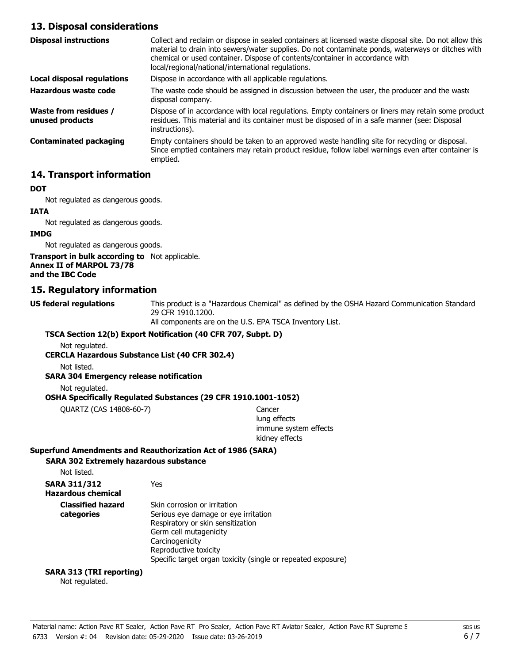# **13. Disposal considerations**

| <b>Disposal instructions</b>             | Collect and reclaim or dispose in sealed containers at licensed waste disposal site. Do not allow this<br>material to drain into sewers/water supplies. Do not contaminate ponds, waterways or ditches with<br>chemical or used container. Dispose of contents/container in accordance with<br>local/regional/national/international regulations. |
|------------------------------------------|---------------------------------------------------------------------------------------------------------------------------------------------------------------------------------------------------------------------------------------------------------------------------------------------------------------------------------------------------|
| Local disposal regulations               | Dispose in accordance with all applicable regulations.                                                                                                                                                                                                                                                                                            |
| Hazardous waste code                     | The waste code should be assigned in discussion between the user, the producer and the waste<br>disposal company.                                                                                                                                                                                                                                 |
| Waste from residues /<br>unused products | Dispose of in accordance with local regulations. Empty containers or liners may retain some product<br>residues. This material and its container must be disposed of in a safe manner (see: Disposal<br>instructions).                                                                                                                            |
| Contaminated packaging                   | Empty containers should be taken to an approved waste handling site for recycling or disposal.<br>Since emptied containers may retain product residue, follow label warnings even after container is<br>emptied.                                                                                                                                  |

# **14. Transport information**

#### **DOT**

Not regulated as dangerous goods.

#### **IATA**

Not regulated as dangerous goods.

#### **IMDG**

Not regulated as dangerous goods.

**Transport in bulk according to** Not applicable. **Annex II of MARPOL 73/78 and the IBC Code**

# **15. Regulatory information**

**US federal regulations**

This product is a "Hazardous Chemical" as defined by the OSHA Hazard Communication Standard, 29 CFR 1910.1200.

All components are on the U.S. EPA TSCA Inventory List.

#### **TSCA Section 12(b) Export Notification (40 CFR 707, Subpt. D)**

Not regulated.

**CERCLA Hazardous Substance List (40 CFR 302.4)**

Not listed.

#### **SARA 304 Emergency release notification**

Not regulated.

#### **OSHA Specifically Regulated Substances (29 CFR 1910.1001-1052)**

QUARTZ (CAS 14808-60-7) Cancer

lung effects immune system effects kidney effects

# **Superfund Amendments and Reauthorization Act of 1986 (SARA)**

# **SARA 302 Extremely hazardous substance**

| <b>SARA 311/312</b><br><b>Hazardous chemical</b> | Yes                                                                                                                                                                                                                                             |
|--------------------------------------------------|-------------------------------------------------------------------------------------------------------------------------------------------------------------------------------------------------------------------------------------------------|
| <b>Classified hazard</b><br>categories           | Skin corrosion or irritation<br>Serious eye damage or eye irritation<br>Respiratory or skin sensitization<br>Germ cell mutagenicity<br>Carcinogenicity<br>Reproductive toxicity<br>Specific target organ toxicity (single or repeated exposure) |

# **SARA 313 (TRI reporting)**

Not regulated.